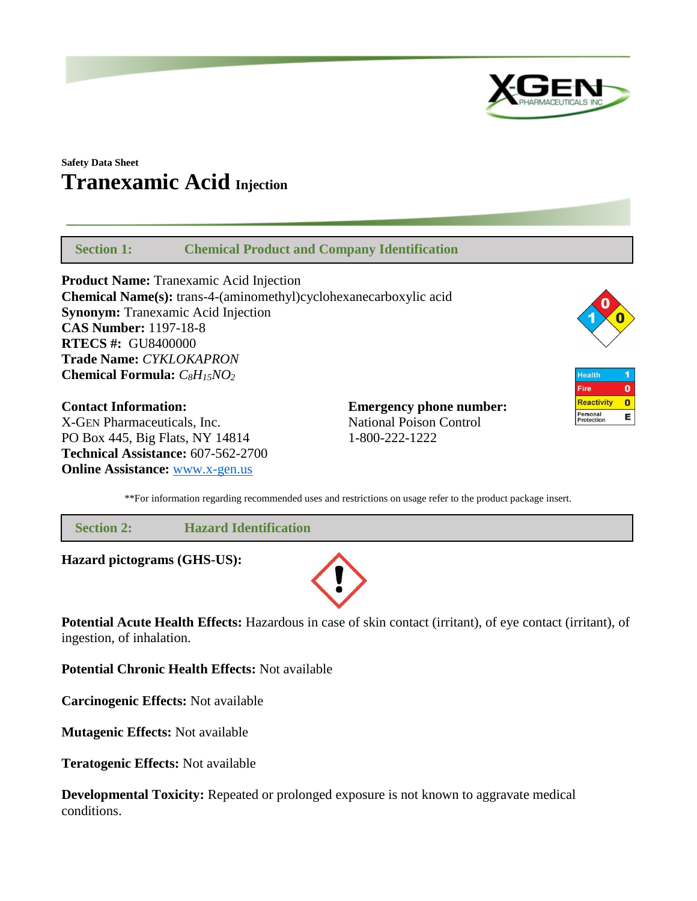

# **Safety Data Sheet Tranexamic Acid Injection**

 **Section 1: Chemical Product and Company Identification**

**Product Name:** Tranexamic Acid Injection **Chemical Name(s):** trans-4-(aminomethyl)cyclohexanecarboxylic acid **Synonym:** Tranexamic Acid Injection **CAS Number:** 1197-18-8 **RTECS #:** GU8400000 **Trade Name:** *CYKLOKAPRON* **Chemical Formula:** *C8H15NO<sup>2</sup>*

**Contact Information: Emergency phone number:** X-GEN Pharmaceuticals, Inc. National Poison Control PO Box 445, Big Flats, NY 14814 1-800-222-1222 **Technical Assistance:** 607-562-2700 **Online Assistance:** [www.x-gen.us](http://www.x-gen.us/)



Health 1  $\overline{\mathbf{o}}$ Fire **Reactivity**  $\bullet$ Personal<br>Protection E

\*\*For information regarding recommended uses and restrictions on usage refer to the product package insert.

 **Section 2: Hazard Identification**

**Hazard pictograms (GHS-US):**



**Potential Acute Health Effects:** Hazardous in case of skin contact (irritant), of eye contact (irritant), of ingestion, of inhalation.

**Potential Chronic Health Effects:** Not available

**Carcinogenic Effects:** Not available

**Mutagenic Effects:** Not available

**Teratogenic Effects:** Not available

**Developmental Toxicity:** Repeated or prolonged exposure is not known to aggravate medical conditions.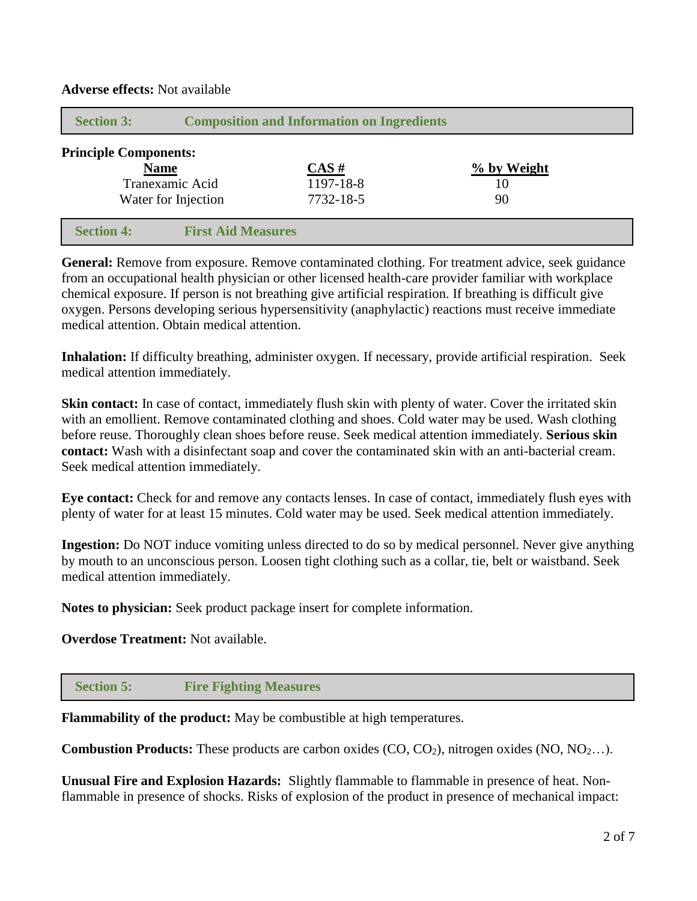| <b>Section 3:</b>            | <b>Composition and Information on Ingredients</b> |                           |             |  |  |
|------------------------------|---------------------------------------------------|---------------------------|-------------|--|--|
| <b>Principle Components:</b> |                                                   |                           |             |  |  |
| <b>Name</b>                  |                                                   | $\overline{\text{CAS}\#}$ | % by Weight |  |  |
| Tranexamic Acid              |                                                   | 1197-18-8                 | 10          |  |  |
| Water for Injection          |                                                   | 7732-18-5                 | 90          |  |  |
|                              |                                                   |                           |             |  |  |
| <b>Section 4:</b>            | <b>First Aid Measures</b>                         |                           |             |  |  |

**Adverse effects:** Not available

**General:** Remove from exposure. Remove contaminated clothing. For treatment advice, seek guidance from an occupational health physician or other licensed health-care provider familiar with workplace chemical exposure. If person is not breathing give artificial respiration. If breathing is difficult give oxygen. Persons developing serious hypersensitivity (anaphylactic) reactions must receive immediate medical attention. Obtain medical attention.

**Inhalation:** If difficulty breathing, administer oxygen. If necessary, provide artificial respiration. Seek medical attention immediately.

**Skin contact:** In case of contact, immediately flush skin with plenty of water. Cover the irritated skin with an emollient. Remove contaminated clothing and shoes. Cold water may be used. Wash clothing before reuse. Thoroughly clean shoes before reuse. Seek medical attention immediately. **Serious skin contact:** Wash with a disinfectant soap and cover the contaminated skin with an anti-bacterial cream. Seek medical attention immediately.

**Eye contact:** Check for and remove any contacts lenses. In case of contact, immediately flush eyes with plenty of water for at least 15 minutes. Cold water may be used. Seek medical attention immediately.

**Ingestion:** Do NOT induce vomiting unless directed to do so by medical personnel. Never give anything by mouth to an unconscious person. Loosen tight clothing such as a collar, tie, belt or waistband. Seek medical attention immediately.

**Notes to physician:** Seek product package insert for complete information.

**Overdose Treatment:** Not available.

 **Section 5: Fire Fighting Measures**

**Flammability of the product:** May be combustible at high temperatures.

**Combustion Products:** These products are carbon oxides (CO, CO<sub>2</sub>), nitrogen oxides (NO, NO<sub>2...</sub>).

**Unusual Fire and Explosion Hazards:** Slightly flammable to flammable in presence of heat. Nonflammable in presence of shocks. Risks of explosion of the product in presence of mechanical impact: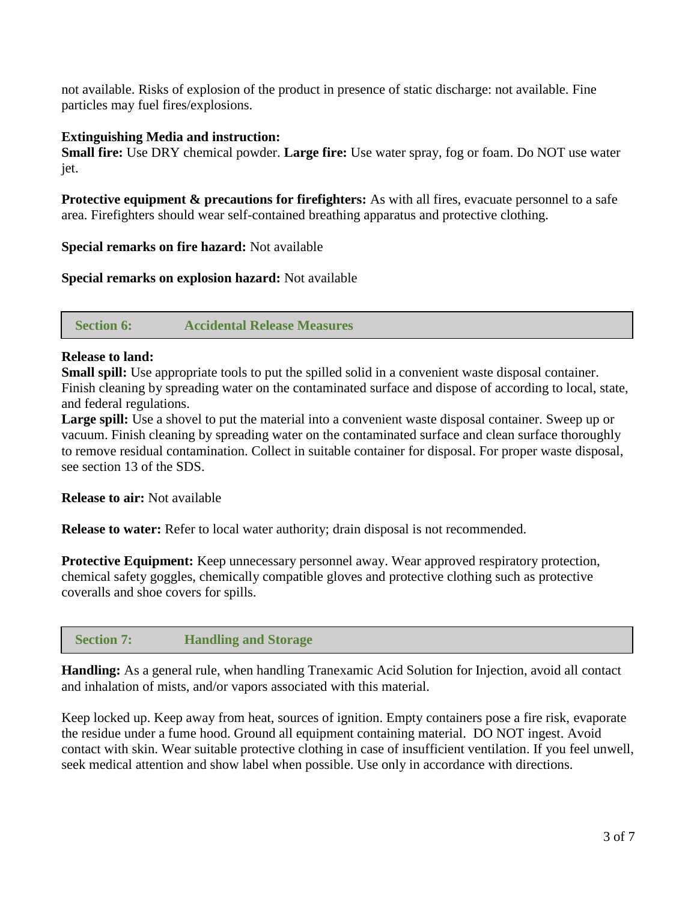not available. Risks of explosion of the product in presence of static discharge: not available. Fine particles may fuel fires/explosions.

### **Extinguishing Media and instruction:**

**Small fire:** Use DRY chemical powder. **Large fire:** Use water spray, fog or foam. Do NOT use water jet.

**Protective equipment & precautions for firefighters:** As with all fires, evacuate personnel to a safe area. Firefighters should wear self-contained breathing apparatus and protective clothing.

**Special remarks on fire hazard:** Not available

**Special remarks on explosion hazard:** Not available

 **Section 6: Accidental Release Measures**

# **Release to land:**

**Small spill:** Use appropriate tools to put the spilled solid in a convenient waste disposal container. Finish cleaning by spreading water on the contaminated surface and dispose of according to local, state, and federal regulations.

**Large spill:** Use a shovel to put the material into a convenient waste disposal container. Sweep up or vacuum. Finish cleaning by spreading water on the contaminated surface and clean surface thoroughly to remove residual contamination. Collect in suitable container for disposal. For proper waste disposal, see section 13 of the SDS.

**Release to air:** Not available

**Release to water:** Refer to local water authority; drain disposal is not recommended.

**Protective Equipment:** Keep unnecessary personnel away. Wear approved respiratory protection, chemical safety goggles, chemically compatible gloves and protective clothing such as protective coveralls and shoe covers for spills.

# **Section 7: Handling and Storage**

**Handling:** As a general rule, when handling Tranexamic Acid Solution for Injection, avoid all contact and inhalation of mists, and/or vapors associated with this material.

Keep locked up. Keep away from heat, sources of ignition. Empty containers pose a fire risk, evaporate the residue under a fume hood. Ground all equipment containing material. DO NOT ingest. Avoid contact with skin. Wear suitable protective clothing in case of insufficient ventilation. If you feel unwell, seek medical attention and show label when possible. Use only in accordance with directions.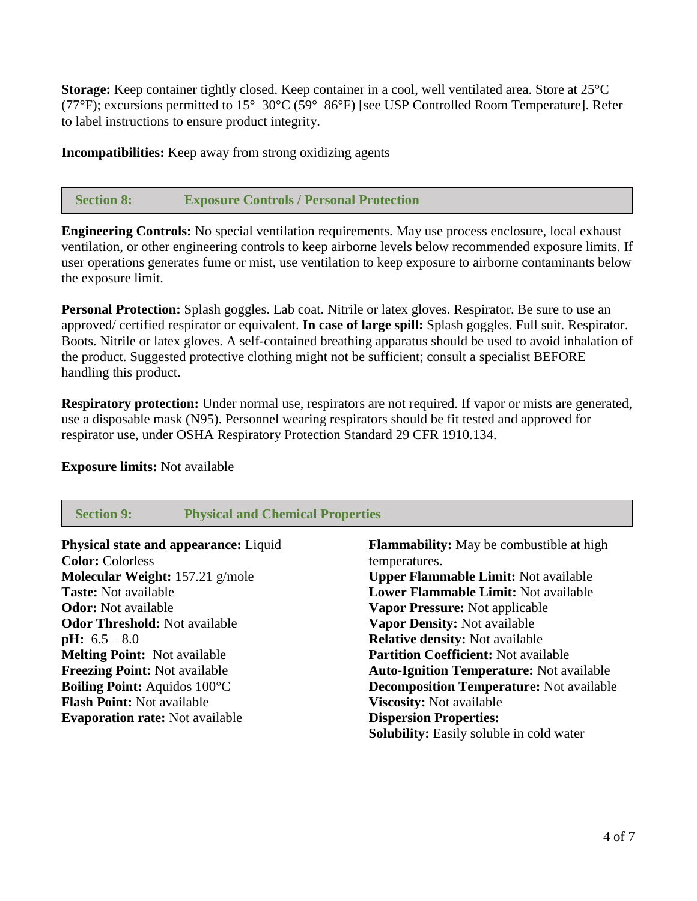**Storage:** Keep container tightly closed. Keep container in a cool, well ventilated area. Store at 25°C (77°F); excursions permitted to 15°–30°C (59°–86°F) [see USP Controlled Room Temperature]. Refer to label instructions to ensure product integrity.

**Incompatibilities:** Keep away from strong oxidizing agents

# **Section 8: Exposure Controls / Personal Protection**

**Engineering Controls:** No special ventilation requirements. May use process enclosure, local exhaust ventilation, or other engineering controls to keep airborne levels below recommended exposure limits. If user operations generates fume or mist, use ventilation to keep exposure to airborne contaminants below the exposure limit.

**Personal Protection:** Splash goggles. Lab coat. Nitrile or latex gloves. Respirator. Be sure to use an approved/ certified respirator or equivalent. **In case of large spill:** Splash goggles. Full suit. Respirator. Boots. Nitrile or latex gloves. A self-contained breathing apparatus should be used to avoid inhalation of the product. Suggested protective clothing might not be sufficient; consult a specialist BEFORE handling this product.

**Respiratory protection:** Under normal use, respirators are not required. If vapor or mists are generated, use a disposable mask (N95). Personnel wearing respirators should be fit tested and approved for respirator use, under OSHA Respiratory Protection Standard 29 CFR 1910.134.

#### **Exposure limits:** Not available

| <b>Physical and Chemical Properties</b><br><b>Section 9:</b> |                                                 |  |
|--------------------------------------------------------------|-------------------------------------------------|--|
| Physical state and appearance: Liquid                        | <b>Flammability:</b> May be combustible at high |  |
| <b>Color:</b> Colorless                                      | temperatures.                                   |  |
| <b>Molecular Weight:</b> 157.21 $g/mole$                     | <b>Upper Flammable Limit:</b> Not available     |  |
| <b>Taste:</b> Not available                                  | Lower Flammable Limit: Not available            |  |
| <b>Odor:</b> Not available                                   | <b>Vapor Pressure:</b> Not applicable           |  |
| <b>Odor Threshold:</b> Not available                         | Vapor Density: Not available                    |  |
| <b>pH:</b> $6.5 - 8.0$                                       | <b>Relative density: Not available</b>          |  |
| <b>Melting Point: Not available</b>                          | <b>Partition Coefficient: Not available</b>     |  |
| <b>Freezing Point:</b> Not available                         | <b>Auto-Ignition Temperature:</b> Not available |  |
| <b>Boiling Point: Aquidos 100°C</b>                          | <b>Decomposition Temperature:</b> Not available |  |
| <b>Flash Point: Not available</b>                            | <b>Viscosity:</b> Not available                 |  |
| <b>Evaporation rate:</b> Not available                       | <b>Dispersion Properties:</b>                   |  |
|                                                              | <b>Solubility:</b> Easily soluble in cold water |  |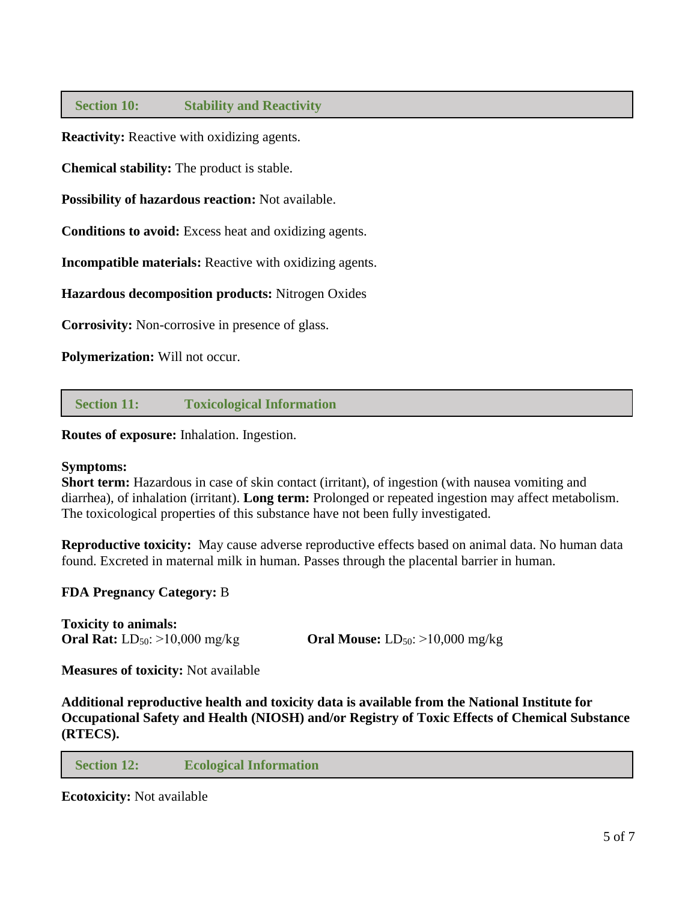### **Section 10: Stability and Reactivity**

**Reactivity:** Reactive with oxidizing agents.

**Chemical stability:** The product is stable.

**Possibility of hazardous reaction:** Not available.

**Conditions to avoid:** Excess heat and oxidizing agents.

**Incompatible materials:** Reactive with oxidizing agents.

**Hazardous decomposition products:** Nitrogen Oxides

**Corrosivity:** Non-corrosive in presence of glass.

**Polymerization:** Will not occur.

 **Section 11: Toxicological Information**

**Routes of exposure:** Inhalation. Ingestion.

#### **Symptoms:**

**Short term:** Hazardous in case of skin contact (irritant), of ingestion (with nausea vomiting and diarrhea), of inhalation (irritant). **Long term:** Prolonged or repeated ingestion may affect metabolism. The toxicological properties of this substance have not been fully investigated.

**Reproductive toxicity:** May cause adverse reproductive effects based on animal data. No human data found. Excreted in maternal milk in human. Passes through the placental barrier in human.

#### **FDA Pregnancy Category:** B

**Toxicity to animals:**

**Oral Rat:** LD<sub>50</sub>: >10,000 mg/kg **Oral Mouse:** LD<sub>50</sub>: >10,000 mg/kg

**Measures of toxicity:** Not available

**Additional reproductive health and toxicity data is available from the National Institute for Occupational Safety and Health (NIOSH) and/or Registry of Toxic Effects of Chemical Substance (RTECS).**

 **Section 12: Ecological Information**

**Ecotoxicity:** Not available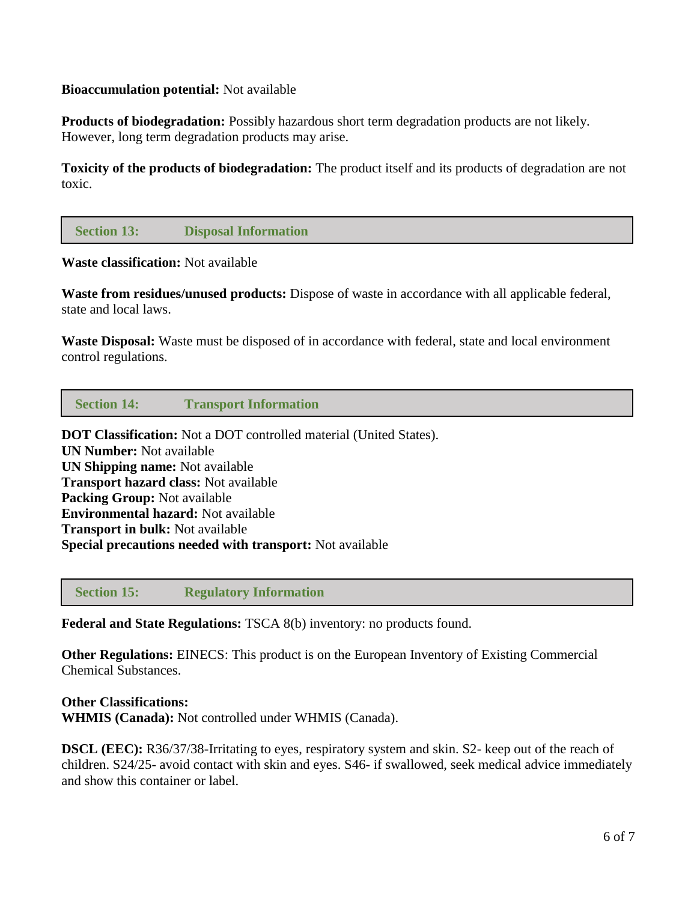### **Bioaccumulation potential:** Not available

**Products of biodegradation:** Possibly hazardous short term degradation products are not likely. However, long term degradation products may arise.

**Toxicity of the products of biodegradation:** The product itself and its products of degradation are not toxic.

# **Section 13: Disposal Information**

**Waste classification:** Not available

**Waste from residues/unused products:** Dispose of waste in accordance with all applicable federal, state and local laws.

**Waste Disposal:** Waste must be disposed of in accordance with federal, state and local environment control regulations.

 **Section 14: Transport Information**

**DOT Classification:** Not a DOT controlled material (United States). **UN Number:** Not available **UN Shipping name:** Not available **Transport hazard class:** Not available **Packing Group:** Not available **Environmental hazard:** Not available **Transport in bulk:** Not available **Special precautions needed with transport:** Not available

 **Section 15: Regulatory Information**

**Federal and State Regulations:** TSCA 8(b) inventory: no products found.

**Other Regulations:** EINECS: This product is on the European Inventory of Existing Commercial Chemical Substances.

**Other Classifications: WHMIS (Canada):** Not controlled under WHMIS (Canada).

**DSCL (EEC):** R36/37/38-Irritating to eyes, respiratory system and skin. S2- keep out of the reach of children. S24/25- avoid contact with skin and eyes. S46- if swallowed, seek medical advice immediately and show this container or label.